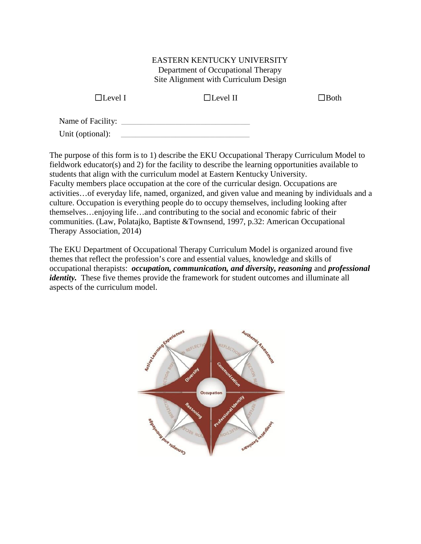#### EASTERN KENTUCKY UNIVERSITY Department of Occupational Therapy Site Alignment with Curriculum Design

 $\Box$ Level I

 $\Box$ Level II  $\Box$ Both

Name of Facility: **Let us a set of Facility:**  $\blacksquare$ 

Unit (optional):

The purpose of this form is to 1) describe the EKU Occupational Therapy Curriculum Model to fieldwork educator(s) and 2) for the facility to describe the learning opportunities available to students that align with the curriculum model at Eastern Kentucky University. Faculty members place occupation at the core of the curricular design. Occupations are activities…of everyday life, named, organized, and given value and meaning by individuals and a culture. Occupation is everything people do to occupy themselves, including looking after themselves…enjoying life…and contributing to the social and economic fabric of their communities. (Law, Polatajko, Baptiste &Townsend, 1997, p.32: American Occupational Therapy Association, 2014)

The EKU Department of Occupational Therapy Curriculum Model is organized around five themes that reflect the profession's core and essential values, knowledge and skills of occupational therapists: *occupation, communication, and diversity, reasoning* and *professional identity.* These five themes provide the framework for student outcomes and illuminate all aspects of the curriculum model.

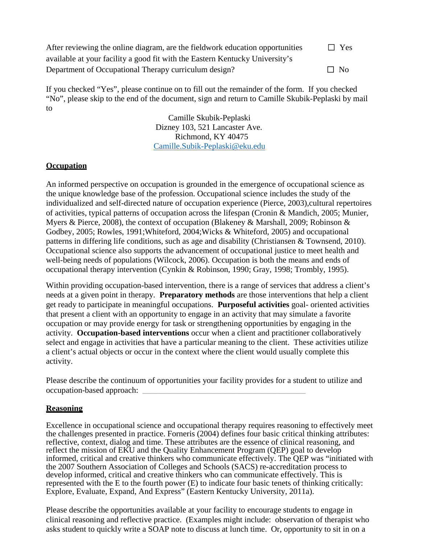| After reviewing the online diagram, are the fieldwork education opportunities | $\Box$ Yes |  |
|-------------------------------------------------------------------------------|------------|--|
| available at your facility a good fit with the Eastern Kentucky University's  |            |  |
| Department of Occupational Therapy curriculum design?                         | $\Box$ No  |  |

If you checked "Yes", please continue on to fill out the remainder of the form. If you checked "No", please skip to the end of the document, sign and return to Camille Skubik-Peplaski by mail to

> Camille Skubik-Peplaski Dizney 103, 521 Lancaster Ave. Richmond, KY 40475 Camille.Subik-Peplaski@eku.edu

### **Occupation**

An informed perspective on occupation is grounded in the emergence of occupational science as the unique knowledge base of the profession. Occupational science includes the study of the individualized and self-directed nature of occupation experience (Pierce, 2003),cultural repertoires of activities, typical patterns of occupation across the lifespan (Cronin & Mandich, 2005; Munier, Myers & Pierce, 2008), the context of occupation (Blakeney & Marshall, 2009; Robinson & Godbey, 2005; Rowles, 1991;Whiteford, 2004;Wicks & Whiteford, 2005) and occupational patterns in differing life conditions, such as age and disability (Christiansen & Townsend, 2010). Occupational science also supports the advancement of occupational justice to meet health and well-being needs of populations (Wilcock, 2006). Occupation is both the means and ends of occupational therapy intervention (Cynkin & Robinson, 1990; Gray, 1998; Trombly, 1995).

Within providing occupation-based intervention, there is a range of services that address a client's needs at a given point in therapy. **Preparatory methods** are those interventions that help a client get ready to participate in meaningful occupations. **Purposeful activities** goal- oriented activities that present a client with an opportunity to engage in an activity that may simulate a favorite occupation or may provide energy for task or strengthening opportunities by engaging in the activity. **Occupation-based interventions** occur when a client and practitioner collaboratively select and engage in activities that have a particular meaning to the client. These activities utilize a client's actual objects or occur in the context where the client would usually complete this activity.

Please describe the continuum of opportunities your facility provides for a student to utilize and occupation-based approach: **\_\_\_\_\_\_\_\_\_\_\_\_\_\_\_\_\_\_\_\_\_\_\_\_\_\_\_\_\_\_\_\_\_**

### **Reasoning**

Excellence in occupational science and occupational therapy requires reasoning to effectively meet the challenges presented in practice. Forneris (2004) defines four basic critical thinking attributes: reflective, context, dialog and time. These attributes are the essence of clinical reasoning, and reflect the mission of EKU and the Quality Enhancement Program (QEP) goal to develop informed, critical and creative thinkers who communicate effectively. The QEP was "initiated with the 2007 Southern Association of Colleges and Schools (SACS) re-accreditation process to develop informed, critical and creative thinkers who can communicate effectively. This is represented with the E to the fourth power (E) to indicate four basic tenets of thinking critically: Explore, Evaluate, Expand, And Express" (Eastern Kentucky University, 2011a).

Please describe the opportunities available at your facility to encourage students to engage in clinical reasoning and reflective practice. (Examples might include: observation of therapist who asks student to quickly write a SOAP note to discuss at lunch time. Or, opportunity to sit in on a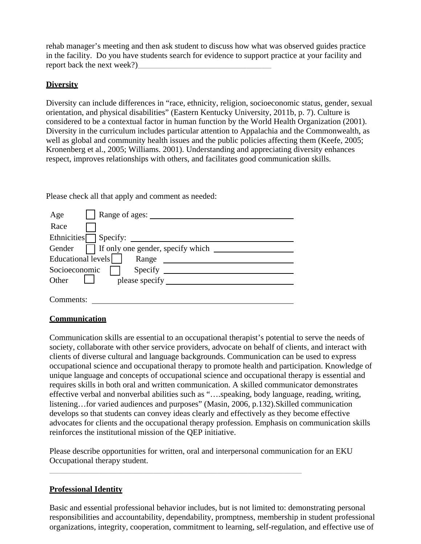rehab manager's meeting and then ask student to discuss how what was observed guides practice in the facility. Do you have students search for evidence to support practice at your facility and report back the next week?)

### **Diversity**

Diversity can include differences in "race, ethnicity, religion, socioeconomic status, gender, sexual orientation, and physical disabilities" (Eastern Kentucky University, 2011b, p. 7). Culture is considered to be a contextual factor in human function by the World Health Organization (2001). Diversity in the curriculum includes particular attention to Appalachia and the Commonwealth, as well as global and community health issues and the public policies affecting them (Keefe, 2005; Kronenberg et al., 2005; Williams. 2001). Understanding and appreciating diversity enhances respect, improves relationships with others, and facilitates good communication skills.

Please check all that apply and comment as needed:

| Range of ages:<br>Age                       |
|---------------------------------------------|
| Race                                        |
| <b>Ethnicities</b><br>Specify:              |
| If only one gender, specify which<br>Gender |
| Educational levels<br>Range                 |
| Socioeconomic<br>Specify                    |
| Other<br>please specify                     |
|                                             |
| mments:                                     |

## **Communication**

Communication skills are essential to an occupational therapist's potential to serve the needs of society, collaborate with other service providers, advocate on behalf of clients, and interact with clients of diverse cultural and language backgrounds. Communication can be used to express occupational science and occupational therapy to promote health and participation. Knowledge of unique language and concepts of occupational science and occupational therapy is essential and requires skills in both oral and written communication. A skilled communicator demonstrates effective verbal and nonverbal abilities such as "….speaking, body language, reading, writing, listening…for varied audiences and purposes" (Masin, 2006, p.132).Skilled communication develops so that students can convey ideas clearly and effectively as they become effective advocates for clients and the occupational therapy profession. Emphasis on communication skills reinforces the institutional mission of the QEP initiative.

Please describe opportunities for written, oral and interpersonal communication for an EKU Occupational therapy student.

\_\_\_\_\_\_\_\_\_\_\_\_\_\_\_\_\_\_\_\_\_\_\_\_\_\_\_\_\_\_\_\_\_\_\_\_\_\_\_\_\_\_\_\_\_\_\_\_\_\_\_

## **Professional Identity**

Basic and essential professional behavior includes, but is not limited to: demonstrating personal responsibilities and accountability, dependability, promptness, membership in student professional organizations, integrity, cooperation, commitment to learning, self-regulation, and effective use of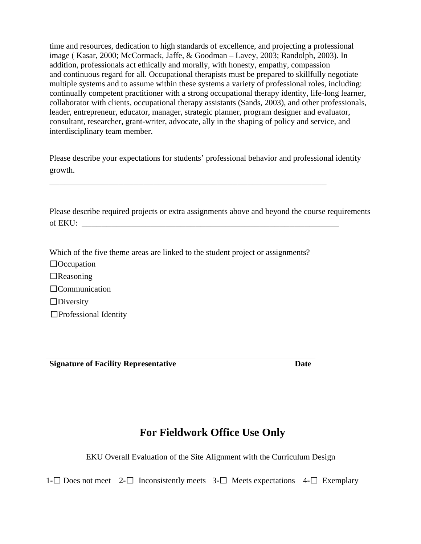time and resources, dedication to high standards of excellence, and projecting a professional image ( Kasar, 2000; McCormack, Jaffe, & Goodman – Lavey, 2003; Randolph, 2003). In addition, professionals act ethically and morally, with honesty, empathy, compassion and continuous regard for all. Occupational therapists must be prepared to skillfully negotiate multiple systems and to assume within these systems a variety of professional roles, including: continually competent practitioner with a strong occupational therapy identity, life-long learner, collaborator with clients, occupational therapy assistants (Sands, 2003), and other professionals, leader, entrepreneur, educator, manager, strategic planner, program designer and evaluator, consultant, researcher, grant-writer, advocate, ally in the shaping of policy and service, and interdisciplinary team member.

Please describe your expectations for students' professional behavior and professional identity growth.

Please describe required projects or extra assignments above and beyond the course requirements  $of EKU:$ 

Which of the five theme areas are linked to the student project or assignments?

\_\_\_\_\_\_\_\_\_\_\_\_\_\_\_\_\_\_\_\_\_\_\_\_\_\_\_\_\_\_\_\_\_\_\_\_\_\_\_\_\_\_\_\_\_\_\_\_\_\_\_\_\_\_\_\_

☐Occupation  $\Box$ Reasoning ☐Communication ☐Diversity ☐Professional Identity

**Signature of Facility Representative Date** 

# **For Fieldwork Office Use Only**

EKU Overall Evaluation of the Site Alignment with the Curriculum Design

1**-**☐ Does not meet 2**-**☐ Inconsistently meets 3**-**☐ Meets expectations 4**-**☐ Exemplary